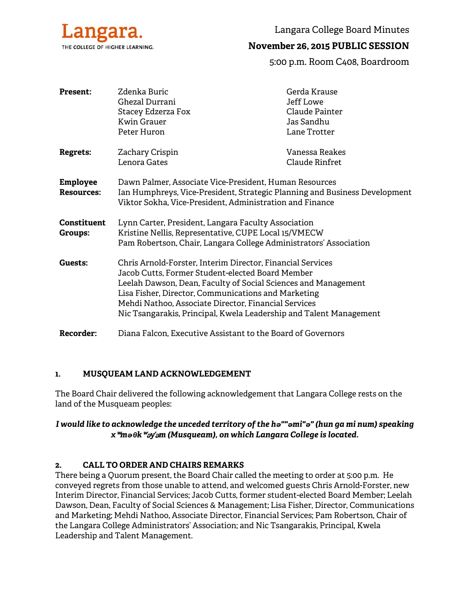

# **November 26, 2015 PUBLIC SESSION**

5:00 p.m. Room C408, Boardroom

| <b>Present:</b>                      | Zdenka Buric<br>Ghezal Durrani<br>Stacey Edzerza Fox<br><b>Kwin Grauer</b><br>Peter Huron                                                                                                                                                                                                                                                                             | Gerda Krause<br>Jeff Lowe<br>Claude Painter<br>Jas Sandhu<br>Lane Trotter |
|--------------------------------------|-----------------------------------------------------------------------------------------------------------------------------------------------------------------------------------------------------------------------------------------------------------------------------------------------------------------------------------------------------------------------|---------------------------------------------------------------------------|
| <b>Regrets:</b>                      | Zachary Crispin<br>Lenora Gates                                                                                                                                                                                                                                                                                                                                       | Vanessa Reakes<br>Claude Rinfret                                          |
| <b>Employee</b><br><b>Resources:</b> | Dawn Palmer, Associate Vice-President, Human Resources<br>Ian Humphreys, Vice-President, Strategic Planning and Business Development<br>Viktor Sokha, Vice-President, Administration and Finance                                                                                                                                                                      |                                                                           |
| <b>Constituent</b><br>Groups:        | Lynn Carter, President, Langara Faculty Association<br>Kristine Nellis, Representative, CUPE Local 15/VMECW<br>Pam Robertson, Chair, Langara College Administrators' Association                                                                                                                                                                                      |                                                                           |
| Guests:                              | Chris Arnold-Forster, Interim Director, Financial Services<br>Jacob Cutts, Former Student-elected Board Member<br>Leelah Dawson, Dean, Faculty of Social Sciences and Management<br>Lisa Fisher, Director, Communications and Marketing<br>Mehdi Nathoo, Associate Director, Financial Services<br>Nic Tsangarakis, Principal, Kwela Leadership and Talent Management |                                                                           |
| <b>Recorder:</b>                     | Diana Falcon, Executive Assistant to the Board of Governors                                                                                                                                                                                                                                                                                                           |                                                                           |

### **1. MUSQUEAM LAND ACKNOWLEDGEMENT**

The Board Chair delivered the following acknowledgement that Langara College rests on the land of the Musqueam peoples:

## *I would like to acknowledge the unceded territory of the hə""əmi"ə" (hun ga mi num) speaking x*ʷ*məθk*ʷə*y*̓ə*m (Musqueam), on which Langara College is located.*

### **2. CALL TO ORDER AND CHAIRS REMARKS**

There being a Quorum present, the Board Chair called the meeting to order at 5:00 p.m. He conveyed regrets from those unable to attend, and welcomed guests Chris Arnold-Forster, new Interim Director, Financial Services; Jacob Cutts, former student-elected Board Member; Leelah Dawson, Dean, Faculty of Social Sciences & Management; Lisa Fisher, Director, Communications and Marketing; Mehdi Nathoo, Associate Director, Financial Services; Pam Robertson, Chair of the Langara College Administrators' Association; and Nic Tsangarakis, Principal, Kwela Leadership and Talent Management.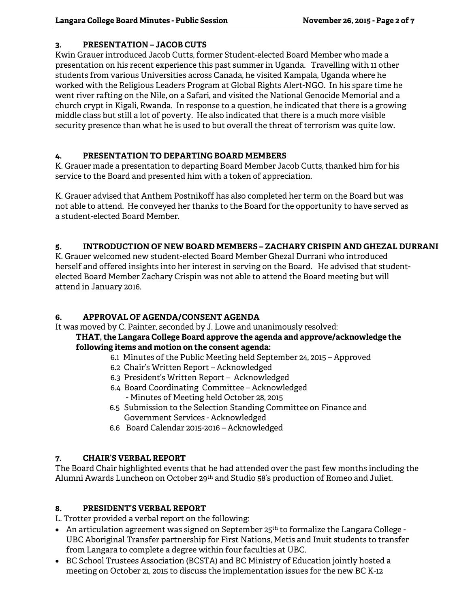## **3. PRESENTATION – JACOB CUTS**

Kwin Grauer introduced Jacob Cutts, former Student-elected Board Member who made a presentation on his recent experience this past summer in Uganda. Travelling with 11 other students from various Universities across Canada, he visited Kampala, Uganda where he worked with the Religious Leaders Program at Global Rights Alert-NGO. In his spare time he went river rafting on the Nile, on a Safari, and visited the National Genocide Memorial and a church crypt in Kigali, Rwanda. In response to a question, he indicated that there is a growing middle class but still a lot of poverty. He also indicated that there is a much more visible security presence than what he is used to but overall the threat of terrorism was quite low.

## **4. PRESENTATION TO DEPARTING BOARD MEMBERS**

K. Grauer made a presentation to departing Board Member Jacob Cutts, thanked him for his service to the Board and presented him with a token of appreciation.

K. Grauer advised that Anthem Postnikoff has also completed her term on the Board but was not able to attend. He conveyed her thanks to the Board for the opportunity to have served as a student-elected Board Member.

## **5. INTRODUCTION OF NEW BOARD MEMBERS – ZACHARY CRISPIN AND GHEZAL DURRANI**

K. Grauer welcomed new student-elected Board Member Ghezal Durrani who introduced herself and offered insights into her interest in serving on the Board. He advised that studentelected Board Member Zachary Crispin was not able to attend the Board meeting but will attend in January 2016.

## **6. APPROVAL OF AGENDA/CONSENT AGENDA**

It was moved by C. Painter, seconded by J. Lowe and unanimously resolved:

### **THAT, the Langara College Board approve the agenda and approve/acknowledge the following items and motion on the consent agenda:**

- 6.1 Minutes of the Public Meeting held September 24, 2015 Approved
- 6.2 Chair's Written Report Acknowledged
- 6.3 President's Written Report Acknowledged
- 6.4 Board Coordinating Committee Acknowledged - Minutes of Meeting held October 28, 2015
- 6.5 Submission to the Selection Standing Committee on Finance and Government Services - Acknowledged
- 6.6 Board Calendar 2015-2016 Acknowledged

## **7. CHAIR'S VERBAL REPORT**

The Board Chair highlighted events that he had attended over the past few months including the Alumni Awards Luncheon on October 29<sup>th</sup> and Studio 58's production of Romeo and Juliet.

# **8. PRESIDENT'S VERBAL REPORT**

L. Trotter provided a verbal report on the following:

- An articulation agreement was signed on September  $25<sup>th</sup>$  to formalize the Langara College -UBC Aboriginal Transfer partnership for First Nations, Metis and Inuit students to transfer from Langara to complete a degree within four faculties at UBC.
- BC School Trustees Association (BCSTA) and BC Ministry of Education jointly hosted a meeting on October 21, 2015 to discuss the implementation issues for the new BC K-12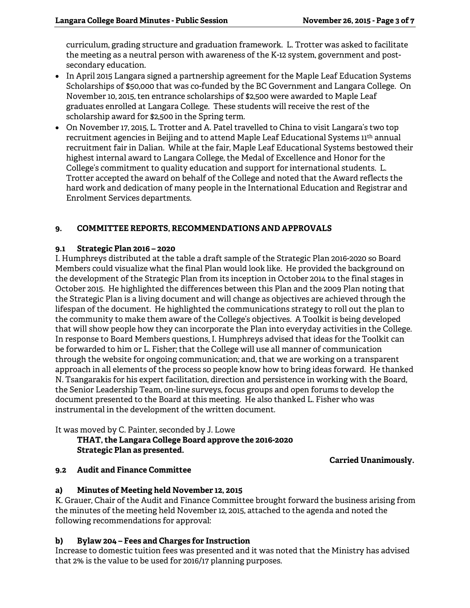curriculum, grading structure and graduation framework. L. Trotter was asked to facilitate the meeting as a neutral person with awareness of the K-12 system, government and postsecondary education.

- In April 2015 Langara signed a partnership agreement for the Maple Leaf Education Systems Scholarships of \$50,000 that was co-funded by the BC Government and Langara College. On November 10, 2015, ten entrance scholarships of \$2,500 were awarded to Maple Leaf graduates enrolled at Langara College. These students will receive the rest of the scholarship award for \$2,500 in the Spring term.
- On November 17, 2015, L. Trotter and A. Patel travelled to China to visit Langara's two top recruitment agencies in Beijing and to attend Maple Leaf Educational Systems 11<sup>th</sup> annual recruitment fair in Dalian. While at the fair, Maple Leaf Educational Systems bestowed their highest internal award to Langara College, the Medal of Excellence and Honor for the College's commitment to quality education and support for international students. L. Trotter accepted the award on behalf of the College and noted that the Award reflects the hard work and dedication of many people in the International Education and Registrar and Enrolment Services departments.

## **9. COMMITTEE REPORTS, RECOMMENDATIONS AND APPROVALS**

#### **9.1 Strategic Plan 2016 – 2020**

I. Humphreys distributed at the table a draft sample of the Strategic Plan 2016-2020 so Board Members could visualize what the final Plan would look like. He provided the background on the development of the Strategic Plan from its inception in October 2014 to the final stages in October 2015. He highlighted the differences between this Plan and the 2009 Plan noting that the Strategic Plan is a living document and will change as objectives are achieved through the lifespan of the document. He highlighted the communications strategy to roll out the plan to the community to make them aware of the College's objectives. A Toolkit is being developed that will show people how they can incorporate the Plan into everyday activities in the College. In response to Board Members questions, I. Humphreys advised that ideas for the Toolkit can be forwarded to him or L. Fisher; that the College will use all manner of communication through the website for ongoing communication; and, that we are working on a transparent approach in all elements of the process so people know how to bring ideas forward. He thanked N. Tsangarakis for his expert facilitation, direction and persistence in working with the Board, the Senior Leadership Team, on-line surveys, focus groups and open forums to develop the document presented to the Board at this meeting. He also thanked L. Fisher who was instrumental in the development of the written document.

It was moved by C. Painter, seconded by J. Lowe

### **THAT, the Langara College Board approve the 2016-2020 Strategic Plan as presented.**

**Carried Unanimously.** 

### **9.2 Audit and Finance Committee**

### **a) Minutes of Meeting held November 12, 2015**

K. Grauer, Chair of the Audit and Finance Committee brought forward the business arising from the minutes of the meeting held November 12, 2015, attached to the agenda and noted the following recommendations for approval:

### **b) Bylaw 204 – Fees and Charges for Instruction**

Increase to domestic tuition fees was presented and it was noted that the Ministry has advised that 2% is the value to be used for 2016/17 planning purposes.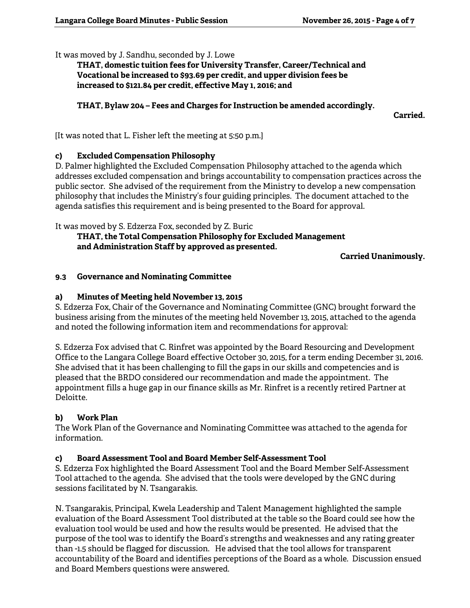It was moved by J. Sandhu, seconded by J. Lowe

 **THAT, domestic tuition fees for University Transfer, Career/Technical and Vocational be increased to \$93.69 per credit, and upper division fees be increased to \$121.84 per credit, effective May 1, 2016; and** 

### **THAT, Bylaw 204 – Fees and Charges for Instruction be amended accordingly.**

**Carried.** 

[It was noted that L. Fisher left the meeting at 5:50 p.m.]

## **c) Excluded Compensation Philosophy**

D. Palmer highlighted the Excluded Compensation Philosophy attached to the agenda which addresses excluded compensation and brings accountability to compensation practices across the public sector. She advised of the requirement from the Ministry to develop a new compensation philosophy that includes the Ministry's four guiding principles. The document attached to the agenda satisfies this requirement and is being presented to the Board for approval.

It was moved by S. Edzerza Fox, seconded by Z. Buric

### **THAT, the Total Compensation Philosophy for Excluded Management and Administration Staff by approved as presented.**

**Carried Unanimously.** 

## **9.3 Governance and Nominating Committee**

## **a) Minutes of Meeting held November 13, 2015**

S. Edzerza Fox, Chair of the Governance and Nominating Committee (GNC) brought forward the business arising from the minutes of the meeting held November 13, 2015, attached to the agenda and noted the following information item and recommendations for approval:

S. Edzerza Fox advised that C. Rinfret was appointed by the Board Resourcing and Development Office to the Langara College Board effective October 30, 2015, for a term ending December 31, 2016. She advised that it has been challenging to fill the gaps in our skills and competencies and is pleased that the BRDO considered our recommendation and made the appointment. The appointment fills a huge gap in our finance skills as Mr. Rinfret is a recently retired Partner at Deloitte.

## **b) Work Plan**

The Work Plan of the Governance and Nominating Committee was attached to the agenda for information.

### **c) Board Assessment Tool and Board Member Self-Assessment Tool**

S. Edzerza Fox highlighted the Board Assessment Tool and the Board Member Self-Assessment Tool attached to the agenda. She advised that the tools were developed by the GNC during sessions facilitated by N. Tsangarakis.

N. Tsangarakis, Principal, Kwela Leadership and Talent Management highlighted the sample evaluation of the Board Assessment Tool distributed at the table so the Board could see how the evaluation tool would be used and how the results would be presented. He advised that the purpose of the tool was to identify the Board's strengths and weaknesses and any rating greater than -1.5 should be flagged for discussion. He advised that the tool allows for transparent accountability of the Board and identifies perceptions of the Board as a whole. Discussion ensued and Board Members questions were answered.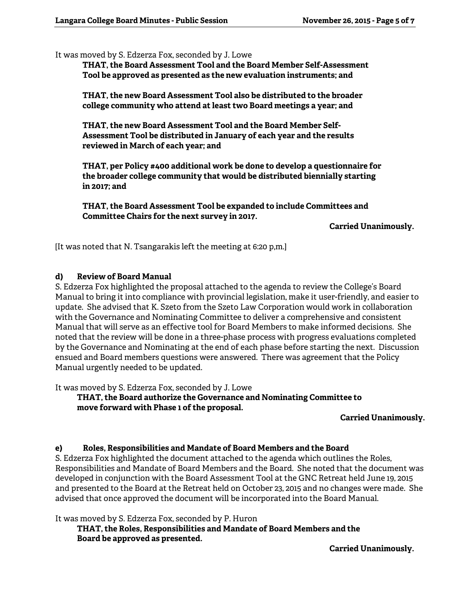It was moved by S. Edzerza Fox, seconded by J. Lowe

**THAT, the Board Assessment Tool and the Board Member Self-Assessment Tool be approved as presented as the new evaluation instruments; and** 

**THAT, the new Board Assessment Tool also be distributed to the broader college community who attend at least two Board meetings a year; and** 

**THAT, the new Board Assessment Tool and the Board Member Self-Assessment Tool be distributed in January of each year and the results reviewed in March of each year; and** 

**THAT, per Policy #400 additional work be done to develop a questionnaire for the broader college community that would be distributed biennially starting in 2017; and** 

**THAT, the Board Assessment Tool be expanded to include Committees and Committee Chairs for the next survey in 2017.** 

**Carried Unanimously.** 

[It was noted that N. Tsangarakis left the meeting at 6:20 p,m.]

#### **d) Review of Board Manual**

S. Edzerza Fox highlighted the proposal attached to the agenda to review the College's Board Manual to bring it into compliance with provincial legislation, make it user-friendly, and easier to update. She advised that K. Szeto from the Szeto Law Corporation would work in collaboration with the Governance and Nominating Committee to deliver a comprehensive and consistent Manual that will serve as an effective tool for Board Members to make informed decisions. She noted that the review will be done in a three-phase process with progress evaluations completed by the Governance and Nominating at the end of each phase before starting the next. Discussion ensued and Board members questions were answered. There was agreement that the Policy Manual urgently needed to be updated.

It was moved by S. Edzerza Fox, seconded by J. Lowe

**THAT, the Board authorize the Governance and Nominating Committee to move forward with Phase 1 of the proposal.** 

#### **Carried Unanimously.**

#### **e) Roles, Responsibilities and Mandate of Board Members and the Board**

S. Edzerza Fox highlighted the document attached to the agenda which outlines the Roles, Responsibilities and Mandate of Board Members and the Board. She noted that the document was developed in conjunction with the Board Assessment Tool at the GNC Retreat held June 19, 2015 and presented to the Board at the Retreat held on October 23, 2015 and no changes were made. She advised that once approved the document will be incorporated into the Board Manual.

It was moved by S. Edzerza Fox, seconded by P. Huron

**THAT, the Roles, Responsibilities and Mandate of Board Members and the Board be approved as presented.** 

**Carried Unanimously.**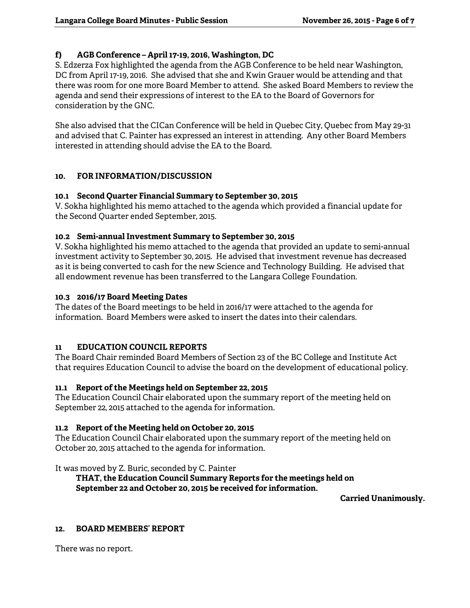## **f) AGB Conference – April 17-19, 2016, Washington, DC**

S. Edzerza Fox highlighted the agenda from the AGB Conference to be held near Washington, DC from April 17-19, 2016. She advised that she and Kwin Grauer would be attending and that there was room for one more Board Member to attend. She asked Board Members to review the agenda and send their expressions of interest to the EA to the Board of Governors for consideration by the GNC.

She also advised that the CICan Conference will be held in Quebec City, Quebec from May 29-31 and advised that C. Painter has expressed an interest in attending. Any other Board Members interested in attending should advise the EA to the Board.

## **10. FOR INFORMATION/DISCUSSION**

### **10.1 Second Quarter Financial Summary to September 30, 2015**

V. Sokha highlighted his memo attached to the agenda which provided a financial update for the Second Quarter ended September, 2015.

### **10.2 Semi-annual Investment Summary to September 30, 2015**

V. Sokha highlighted his memo attached to the agenda that provided an update to semi-annual investment activity to September 30, 2015. He advised that investment revenue has decreased as it is being converted to cash for the new Science and Technology Building. He advised that all endowment revenue has been transferred to the Langara College Foundation.

### **10.3 2016/17 Board Meeting Dates**

The dates of the Board meetings to be held in 2016/17 were attached to the agenda for information. Board Members were asked to insert the dates into their calendars.

### **11 EDUCATION COUNCIL REPORTS**

The Board Chair reminded Board Members of Section 23 of the BC College and Institute Act that requires Education Council to advise the board on the development of educational policy.

### **11.1 Report of the Meetings held on September 22, 2015**

The Education Council Chair elaborated upon the summary report of the meeting held on September 22, 2015 attached to the agenda for information.

### **11.2 Report of the Meeting held on October 20, 2015**

The Education Council Chair elaborated upon the summary report of the meeting held on October 20, 2015 attached to the agenda for information.

It was moved by Z. Buric, seconded by C. Painter

### **THAT, the Education Council Summary Reports for the meetings held on September 22 and October 20, 2015 be received for information.**

**Carried Unanimously.** 

#### **12. BOARD MEMBERS' REPORT**

There was no report.